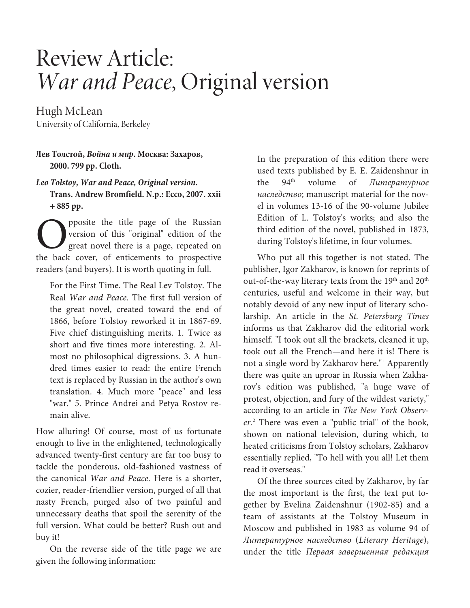## Review Article: War and Peace, Original version

Hugh McLean University of California, Berkeley

**Лев Толстой, Война и мир. Москва: Захаров, 2000. 799 pp. Cloth.** 

**Leo Tolstoy, War and Peace, Original version.** 

**Trans. Andrew Bromfield. N.p.: Ecco, 2007. xxii + 885 pp.** 

pposite the title page of the Russian version of this "original" edition of the great novel there is a page, repeated on **O** prosite the title page of the Russian<br>
yersion of this "original" edition of the<br>
great novel there is a page, repeated on<br>
the back cover, of enticements to prospective readers (and buyers). It is worth quoting in full.

For the First Time. The Real Lev Tolstoy. The Real War and Peace. The first full version of the great novel, created toward the end of 1866, before Tolstoy reworked it in 1867-69. Five chief distinguishing merits. 1. Twice as short and five times more interesting. 2. Almost no philosophical digressions. 3. A hundred times easier to read: the entire French text is replaced by Russian in the author's own translation. 4. Much more "peace" and less "war." 5. Prince Andrei and Petya Rostov remain alive.

How alluring! Of course, most of us fortunate enough to live in the enlightened, technologically advanced twenty-first century are far too busy to tackle the ponderous, old-fashioned vastness of the canonical War and Peace. Here is a shorter, cozier, reader-friendlier version, purged of all that nasty French, purged also of two painful and unnecessary deaths that spoil the serenity of the full version. What could be better? Rush out and buy it!

On the reverse side of the title page we are given the following information:

In the preparation of this edition there were used texts published by E. E. Zaidenshnur in the 94<sup>th</sup> volume of *Литературное* наследство; manuscript material for the novel in volumes 13-16 of the 90-volume Jubilee Edition of L. Tolstoy's works; and also the third edition of the novel, published in 1873, during Tolstoy's lifetime, in four volumes.

Who put all this together is not stated. The publisher, Igor Zakharov, is known for reprints of out-of-the-way literary texts from the 19<sup>th</sup> and 20<sup>th</sup> centuries, useful and welcome in their way, but notably devoid of any new input of literary scholarship. An article in the St. Petersburg Times informs us that Zakharov did the editorial work himself. "I took out all the brackets, cleaned it up, took out all the French—and here it is! There is not a single word by Zakharov here."<sup>1</sup> Apparently there was quite an uproar in Russia when Zakharov's edition was published, "a huge wave of protest, objection, and fury of the wildest variety," according to an article in The New York Observer.<sup>2</sup> There was even a "public trial" of the book, shown on national television, during which, to heated criticisms from Tolstoy scholars, Zakharov essentially replied, "To hell with you all! Let them read it overseas."

Of the three sources cited by Zakharov, by far the most important is the first, the text put together by Evelina Zaidenshnur (1902-85) and a team of assistants at the Tolstoy Museum in Moscow and published in 1983 as volume 94 of Литературное наследство (Literary Heritage), under the title Первая завершенная редакция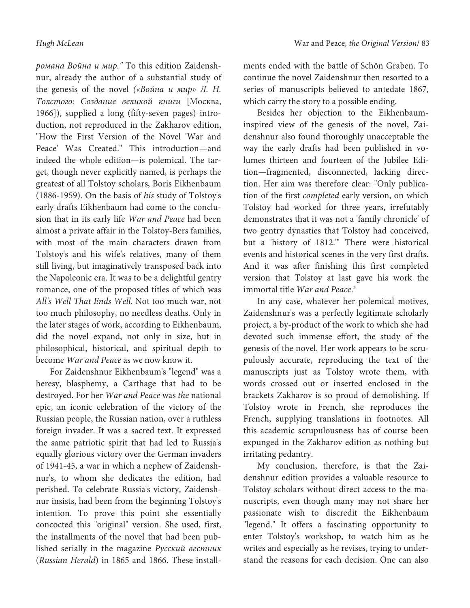романа Война и мир." To this edition Zaidenshnur, already the author of a substantial study of the genesis of the novel («Война и мир» Л. Н. Толстого: Создание великой книги [Москва, 1966]), supplied a long (fifty-seven pages) introduction, not reproduced in the Zakharov edition, "How the First Version of the Novel 'War and Peace' Was Created." This introduction—and indeed the whole edition—is polemical. The target, though never explicitly named, is perhaps the greatest of all Tolstoy scholars, Boris Eikhenbaum (1886-1959). On the basis of his study of Tolstoy's early drafts Eikhenbaum had come to the conclusion that in its early life War and Peace had been almost a private affair in the Tolstoy-Bers families, with most of the main characters drawn from Tolstoy's and his wife's relatives, many of them still living, but imaginatively transposed back into the Napoleonic era. It was to be a delightful gentry romance, one of the proposed titles of which was All's Well That Ends Well. Not too much war, not too much philosophy, no needless deaths. Only in the later stages of work, according to Eikhenbaum, did the novel expand, not only in size, but in philosophical, historical, and spiritual depth to become War and Peace as we now know it.

For Zaidenshnur Eikhenbaum's "legend" was a heresy, blasphemy, a Carthage that had to be destroyed. For her War and Peace was the national epic, an iconic celebration of the victory of the Russian people, the Russian nation, over a ruthless foreign invader. It was a sacred text. It expressed the same patriotic spirit that had led to Russia's equally glorious victory over the German invaders of 1941-45, a war in which a nephew of Zaidenshnur's, to whom she dedicates the edition, had perished. To celebrate Russia's victory, Zaidenshnur insists, had been from the beginning Tolstoy's intention. To prove this point she essentially concocted this "original" version. She used, first, the installments of the novel that had been published serially in the magazine Русский вестник (Russian Herald) in 1865 and 1866. These installments ended with the battle of Schön Graben. To continue the novel Zaidenshnur then resorted to a series of manuscripts believed to antedate 1867, which carry the story to a possible ending.

Besides her objection to the Eikhenbauminspired view of the genesis of the novel, Zaidenshnur also found thoroughly unacceptable the way the early drafts had been published in volumes thirteen and fourteen of the Jubilee Edition—fragmented, disconnected, lacking direction. Her aim was therefore clear: "Only publication of the first completed early version, on which Tolstoy had worked for three years, irrefutably demonstrates that it was not a 'family chronicle' of two gentry dynasties that Tolstoy had conceived, but a 'history of 1812.'" There were historical events and historical scenes in the very first drafts. And it was after finishing this first completed version that Tolstoy at last gave his work the immortal title War and Peace.<sup>3</sup>

In any case, whatever her polemical motives, Zaidenshnur's was a perfectly legitimate scholarly project, a by-product of the work to which she had devoted such immense effort, the study of the genesis of the novel. Her work appears to be scrupulously accurate, reproducing the text of the manuscripts just as Tolstoy wrote them, with words crossed out or inserted enclosed in the brackets Zakharov is so proud of demolishing. If Tolstoy wrote in French, she reproduces the French, supplying translations in footnotes. All this academic scrupulousness has of course been expunged in the Zakharov edition as nothing but irritating pedantry.

My conclusion, therefore, is that the Zaidenshnur edition provides a valuable resource to Tolstoy scholars without direct access to the manuscripts, even though many may not share her passionate wish to discredit the Eikhenbaum "legend." It offers a fascinating opportunity to enter Tolstoy's workshop, to watch him as he writes and especially as he revises, trying to understand the reasons for each decision. One can also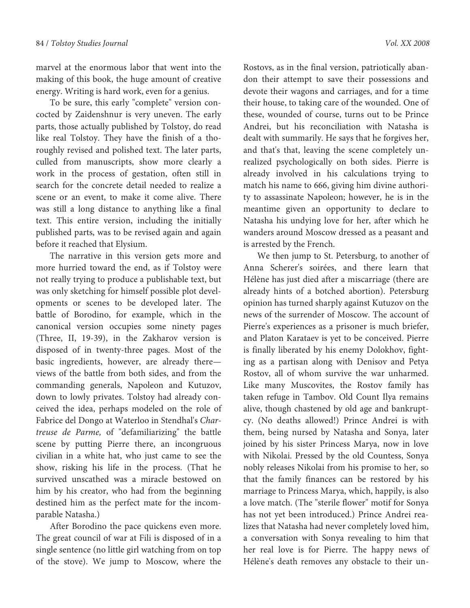marvel at the enormous labor that went into the making of this book, the huge amount of creative energy. Writing is hard work, even for a genius.

To be sure, this early "complete" version concocted by Zaidenshnur is very uneven. The early parts, those actually published by Tolstoy, do read like real Tolstoy. They have the finish of a thoroughly revised and polished text. The later parts, culled from manuscripts, show more clearly a work in the process of gestation, often still in search for the concrete detail needed to realize a scene or an event, to make it come alive. There was still a long distance to anything like a final text. This entire version, including the initially published parts, was to be revised again and again before it reached that Elysium.

The narrative in this version gets more and more hurried toward the end, as if Tolstoy were not really trying to produce a publishable text, but was only sketching for himself possible plot developments or scenes to be developed later. The battle of Borodino, for example, which in the canonical version occupies some ninety pages (Three, II, 19-39), in the Zakharov version is disposed of in twenty-three pages. Most of the basic ingredients, however, are already there views of the battle from both sides, and from the commanding generals, Napoleon and Kutuzov, down to lowly privates. Tolstoy had already conceived the idea, perhaps modeled on the role of Fabrice del Dongo at Waterloo in Stendhal's Chartreuse de Parme, of "defamiliarizing" the battle scene by putting Pierre there, an incongruous civilian in a white hat, who just came to see the show, risking his life in the process. (That he survived unscathed was a miracle bestowed on him by his creator, who had from the beginning destined him as the perfect mate for the incomparable Natasha.)

After Borodino the pace quickens even more. The great council of war at Fili is disposed of in a single sentence (no little girl watching from on top of the stove). We jump to Moscow, where the

Rostovs, as in the final version, patriotically abandon their attempt to save their possessions and devote their wagons and carriages, and for a time their house, to taking care of the wounded. One of these, wounded of course, turns out to be Prince Andrei, but his reconciliation with Natasha is dealt with summarily. He says that he forgives her, and that's that, leaving the scene completely unrealized psychologically on both sides. Pierre is already involved in his calculations trying to match his name to 666, giving him divine authority to assassinate Napoleon; however, he is in the meantime given an opportunity to declare to Natasha his undying love for her, after which he wanders around Moscow dressed as a peasant and is arrested by the French.

We then jump to St. Petersburg, to another of Anna Scherer's soirées, and there learn that Hélène has just died after a miscarriage (there are already hints of a botched abortion). Petersburg opinion has turned sharply against Kutuzov on the news of the surrender of Moscow. The account of Pierre's experiences as a prisoner is much briefer, and Platon Karataev is yet to be conceived. Pierre is finally liberated by his enemy Dolokhov, fighting as a partisan along with Denisov and Petya Rostov, all of whom survive the war unharmed. Like many Muscovites, the Rostov family has taken refuge in Tambov. Old Count Ilya remains alive, though chastened by old age and bankruptcy. (No deaths allowed!) Prince Andrei is with them, being nursed by Natasha and Sonya, later joined by his sister Princess Marya, now in love with Nikolai. Pressed by the old Countess, Sonya nobly releases Nikolai from his promise to her, so that the family finances can be restored by his marriage to Princess Marya, which, happily, is also a love match. (The "sterile flower" motif for Sonya has not yet been introduced.) Prince Andrei realizes that Natasha had never completely loved him, a conversation with Sonya revealing to him that her real love is for Pierre. The happy news of Hélène's death removes any obstacle to their un-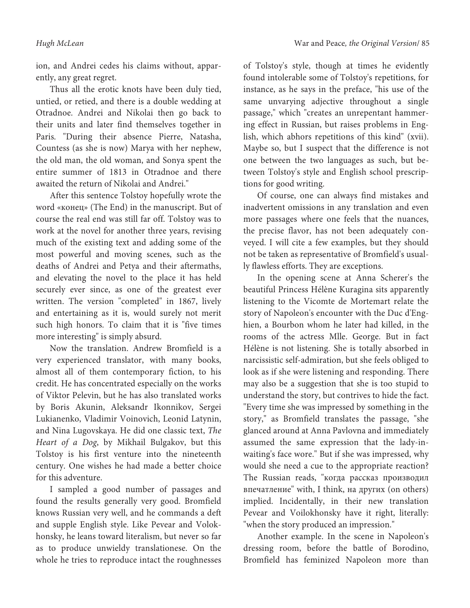ion, and Andrei cedes his claims without, apparently, any great regret.

Thus all the erotic knots have been duly tied, untied, or retied, and there is a double wedding at Otradnoe. Andrei and Nikolai then go back to their units and later find themselves together in Paris. "During their absence Pierre, Natasha, Countess (as she is now) Marya with her nephew, the old man, the old woman, and Sonya spent the entire summer of 1813 in Otradnoe and there awaited the return of Nikolai and Andrei."

After this sentence Tolstoy hopefully wrote the word «конец» (The End) in the manuscript. But of course the real end was still far off. Tolstoy was to work at the novel for another three years, revising much of the existing text and adding some of the most powerful and moving scenes, such as the deaths of Andrei and Petya and their aftermaths, and elevating the novel to the place it has held securely ever since, as one of the greatest ever written. The version "completed" in 1867, lively and entertaining as it is, would surely not merit such high honors. To claim that it is "five times more interesting" is simply absurd.

Now the translation. Andrew Bromfield is a very experienced translator, with many books, almost all of them contemporary fiction, to his credit. He has concentrated especially on the works of Viktor Pelevin, but he has also translated works by Boris Akunin, Aleksandr Ikonnikov, Sergei Lukianenko, Vladimir Voinovich, Leonid Latynin, and Nina Lugovskaya. He did one classic text, The Heart of a Dog, by Mikhail Bulgakov, but this Tolstoy is his first venture into the nineteenth century. One wishes he had made a better choice for this adventure.

I sampled a good number of passages and found the results generally very good. Bromfield knows Russian very well, and he commands a deft and supple English style. Like Pevear and Volokhonsky, he leans toward literalism, but never so far as to produce unwieldy translationese. On the whole he tries to reproduce intact the roughnesses

of Tolstoy's style, though at times he evidently found intolerable some of Tolstoy's repetitions, for instance, as he says in the preface, "his use of the same unvarying adjective throughout a single passage," which "creates an unrepentant hammering effect in Russian, but raises problems in English, which abhors repetitions of this kind" (xvii). Maybe so, but I suspect that the difference is not one between the two languages as such, but between Tolstoy's style and English school prescriptions for good writing.

Of course, one can always find mistakes and inadvertent omissions in any translation and even more passages where one feels that the nuances, the precise flavor, has not been adequately conveyed. I will cite a few examples, but they should not be taken as representative of Bromfield's usually flawless efforts. They are exceptions.

In the opening scene at Anna Scherer's the beautiful Princess Hélène Kuragina sits apparently listening to the Vicomte de Mortemart relate the story of Napoleon's encounter with the Duc d'Enghien, a Bourbon whom he later had killed, in the rooms of the actress Mlle. George. But in fact Hélène is not listening. She is totally absorbed in narcissistic self-admiration, but she feels obliged to look as if she were listening and responding. There may also be a suggestion that she is too stupid to understand the story, but contrives to hide the fact. "Every time she was impressed by something in the story," as Bromfield translates the passage, "she glanced around at Anna Pavlovna and immediately assumed the same expression that the lady-inwaiting's face wore." But if she was impressed, why would she need a cue to the appropriate reaction? The Russian reads, "когда рассказ производил впечатление" with, I think, на других (on others) implied. Incidentally, in their new translation Pevear and Voilokhonsky have it right, literally: "when the story produced an impression."

Another example. In the scene in Napoleon's dressing room, before the battle of Borodino, Bromfield has feminized Napoleon more than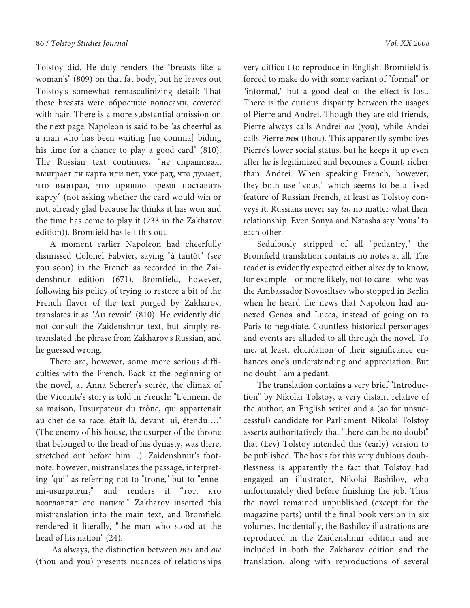Tolstoy did. He duly renders the "breasts like a woman's" (809) on that fat body, but he leaves out Tolstoy's somewhat remasculinizing detail: That these breasts were обросшие волосами, covered with hair. There is a more substantial omission on the next page. Napoleon is said to be "as cheerful as a man who has been waiting [no comma] biding his time for a chance to play a good card" (810). The Russian text continues, "не спрашивая, выиграет ли карта или нет, уже рад, что думает, что выиграл, что пришло время поставить карту" (not asking whether the card would win or not, already glad because he thinks it has won and the time has come to play it (733 in the Zakharov edition)). Bromfield has left this out.

A moment earlier Napoleon had cheerfully dismissed Colonel Fabvier, saying "à tantôt" (see you soon) in the French as recorded in the Zaidenshnur edition (671). Bromfield, however, following his policy of trying to restore a bit of the French flavor of the text purged by Zakharov, translates it as "Au revoir" (810). He evidently did not consult the Zaidenshnur text, but simply retranslated the phrase from Zakharov's Russian, and he guessed wrong.

There are, however, some more serious difficulties with the French. Back at the beginning of the novel, at Anna Scherer's soirée, the climax of the Vicomte's story is told in French: "L'ennemi de sa maison, l'usurpateur du trône, qui appartenait au chef de sa race, était là, devant lui, étendu…." (The enemy of his house, the usurper of the throne that belonged to the head of his dynasty, was there, stretched out before him…). Zaidenshnur's footnote, however, mistranslates the passage, interpreting "qui" as referring not to "trone," but to "ennemi-usurpateur," and renders it "тот, кто возглавлял его нацию." Zakharov inserted this mistranslation into the main text, and Bromfield rendered it literally, "the man who stood at the head of his nation" (24).

As always, the distinction between ты and вы (thou and you) presents nuances of relationships very difficult to reproduce in English. Bromfield is forced to make do with some variant of "formal" or "informal," but a good deal of the effect is lost. There is the curious disparity between the usages of Pierre and Andrei. Though they are old friends, Pierre always calls Andrei вы (you), while Andei calls Pierre *ты* (thou). This apparently symbolizes Pierre's lower social status, but he keeps it up even after he is legitimized and becomes a Count, richer than Andrei. When speaking French, however, they both use "vous," which seems to be a fixed feature of Russian French, at least as Tolstoy conveys it. Russians never say tu, no matter what their relationship. Even Sonya and Natasha say "vous" to each other.

Sedulously stripped of all "pedantry," the Bromfield translation contains no notes at all. The reader is evidently expected either already to know, for example—or more likely, not to care—who was the Ambassador Novosiltsev who stopped in Berlin when he heard the news that Napoleon had annexed Genoa and Lucca, instead of going on to Paris to negotiate. Countless historical personages and events are alluded to all through the novel. To me, at least, elucidation of their significance enhances one's understanding and appreciation. But no doubt I am a pedant.

The translation contains a very brief "Introduction" by Nikolai Tolstoy, a very distant relative of the author, an English writer and a (so far unsuccessful) candidate for Parliament. Nikolai Tolstoy asserts authoritatively that "there can be no doubt" that (Lev) Tolstoy intended this (early) version to be published. The basis for this very dubious doubtlessness is apparently the fact that Tolstoy had engaged an illustrator, Nikolai Bashilov, who unfortunately died before finishing the job. Thus the novel remained unpublished (except for the magazine parts) until the final book version in six volumes. Incidentally, the Bashilov illustrations are reproduced in the Zaidenshnur edition and are included in both the Zakharov edition and the translation, along with reproductions of several